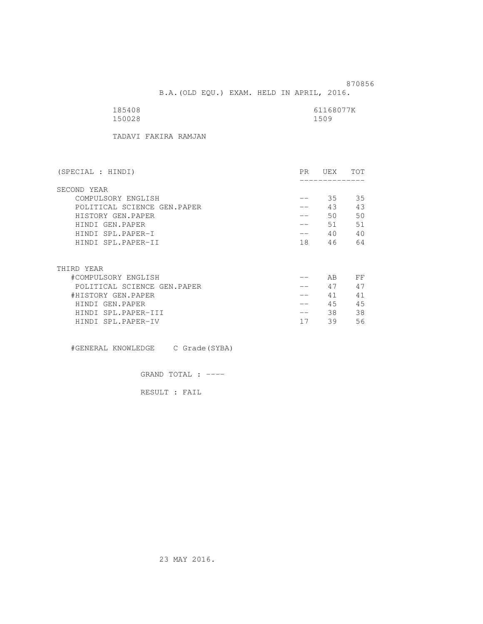B.A.(OLD EQU.) EXAM. HELD IN APRIL, 2016.

| 185408 | 61168077K |
|--------|-----------|
| 150028 | 1509      |

TADAVI FAKIRA RAMJAN

| (SPECIAL : HINDI)           | PR. | UEX | TOT |
|-----------------------------|-----|-----|-----|
| SECOND YEAR                 |     |     |     |
| COMPULSORY ENGLISH          | --  | 35  | 35  |
| POLITICAL SCIENCE GEN.PAPER | --  | 43  | 43  |
| HISTORY GEN.PAPER           |     | 50  | 50  |
| HINDI GEN.PAPER             |     | 51  | 51  |
| HINDI SPL.PAPER-I           | ——  | 40  | 40  |
| HINDI SPL.PAPER-II          | 18  | 46  | 64  |
|                             |     |     |     |
| THIRD YEAR                  |     |     |     |
| #COMPULSORY ENGLISH         |     | AB  | FF  |
| POLITICAL SCIENCE GEN.PAPER |     | 47  | 47  |
| #HISTORY GEN.PAPER          |     | 41  | 41  |
| HINDI GEN.PAPER             |     | 45  | 45  |
| HINDI SPL.PAPER-III         |     | 38. | 38  |
| HINDI SPL.PAPER-IV          | 17  | 39  | 56  |

#GENERAL KNOWLEDGE C Grade(SYBA)

GRAND TOTAL : ----

RESULT : FAIL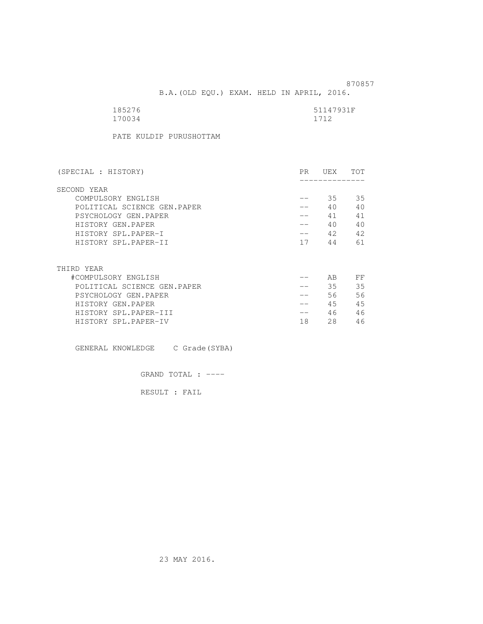B.A.(OLD EQU.) EXAM. HELD IN APRIL, 2016.

| 185276 | 51147931F |
|--------|-----------|
| 170034 | 1712      |

PATE KULDIP PURUSHOTTAM

| (SPECIAL : HISTORY)         | PR. | UEX  | TOT |
|-----------------------------|-----|------|-----|
| SECOND YEAR                 |     |      |     |
| COMPULSORY ENGLISH          |     | 35   | 35  |
| POLITICAL SCIENCE GEN.PAPER |     | 40   | 40  |
| PSYCHOLOGY GEN.PAPER        |     | 41   | 41  |
| HISTORY GEN.PAPER           |     | 40   | 40  |
| HISTORY SPL.PAPER-I         |     | 42   | 42  |
| HISTORY SPL.PAPER-II        | 17  | 44   | 61  |
|                             |     |      |     |
| THIRD YEAR                  |     |      |     |
| #COMPULSORY ENGLISH         |     | AB   | FF  |
| POLITICAL SCIENCE GEN.PAPER |     | 35   | 35  |
| PSYCHOLOGY GEN.PAPER        |     | 56 - | 56  |
| HISTORY GEN.PAPER           | --  | 45   | 45  |
| HISTORY SPL.PAPER-III       | __  | 46   | 46  |
| HISTORY SPL.PAPER-IV        | 18  | 28   | 46  |

GENERAL KNOWLEDGE C Grade(SYBA)

GRAND TOTAL : ----

RESULT : FAIL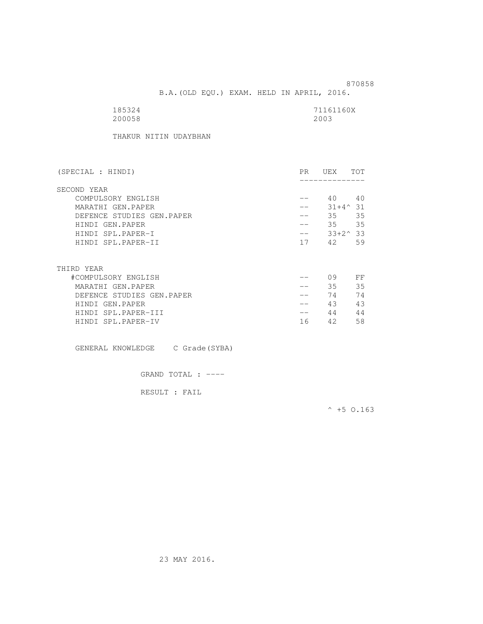B.A.(OLD EQU.) EXAM. HELD IN APRIL, 2016.

| 185324 | 71161160X |
|--------|-----------|
| 200058 | 2003      |

THAKUR NITIN UDAYBHAN

| (SPECIAL : HINDI)         | PR. | UEX               | <b>TOT</b> |
|---------------------------|-----|-------------------|------------|
| SECOND YEAR               |     |                   |            |
| COMPULSORY ENGLISH        |     | 40                | 40         |
| MARATHI GEN.PAPER         |     | $31 + 4^{\circ}$  | 31         |
| DEFENCE STUDIES GEN.PAPER |     | 35                | 35         |
| HINDI GEN.PAPER           |     | 35                | 35         |
| HINDI SPL.PAPER-I         | --  | $33+2^{\wedge}33$ |            |
| HINDI SPL.PAPER-II        | 17  | 42                | 59         |
|                           |     |                   |            |
| THIRD YEAR                |     |                   |            |
| #COMPULSORY ENGLISH       |     | 09                | FF         |
| MARATHI GEN.PAPER         |     | 35                | 35         |
| DEFENCE STUDIES GEN.PAPER |     | 74                | 74         |
| HINDI GEN.PAPER           |     | 43                | 43         |
| HINDI SPL.PAPER-III       | --  | 44                | 44         |
| HINDI SPL.PAPER-IV        | 16  | 42                | 58         |

GENERAL KNOWLEDGE C Grade(SYBA)

GRAND TOTAL : ----

RESULT : FAIL

 $^{\wedge}$  +5 O.163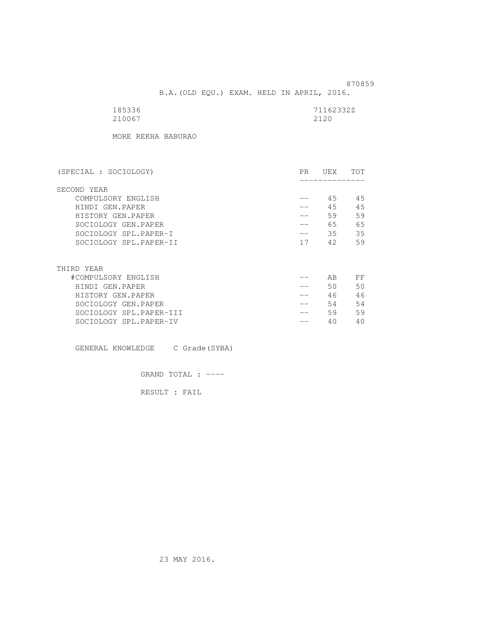B.A.(OLD EQU.) EXAM. HELD IN APRIL, 2016.

| 185336 | 71162332Z |
|--------|-----------|
| 210067 | 2120      |

MORE REKHA BABURAO

| (SPECIAL : SOCIOLOGY)   | PR. | UEX | TOT |
|-------------------------|-----|-----|-----|
| SECOND YEAR             |     |     |     |
| COMPULSORY ENGLISH      |     | 45  | 45  |
| HINDI GEN.PAPER         |     | 45  | 45  |
| HISTORY GEN.PAPER       |     | 59  | 59  |
| SOCIOLOGY GEN.PAPER     |     | 65  | 65  |
| SOCIOLOGY SPL.PAPER-I   |     | 35  | 35  |
| SOCIOLOGY SPL.PAPER-II  | 17  | 42  | 59  |
|                         |     |     |     |
|                         |     |     |     |
| THIRD YEAR              |     |     |     |
| #COMPULSORY ENGLISH     |     | AВ  | FF  |
| HINDI GEN.PAPER         |     | 50  | 50  |
| HISTORY GEN.PAPER       |     | 46  | 46  |
| SOCIOLOGY GEN.PAPER     |     | 54  | 54  |
| SOCIOLOGY SPL.PAPER-III |     | 59  | 59  |
| SOCIOLOGY SPL.PAPER-IV  |     | 40  | 40  |

GENERAL KNOWLEDGE C Grade(SYBA)

GRAND TOTAL : ----

RESULT : FAIL